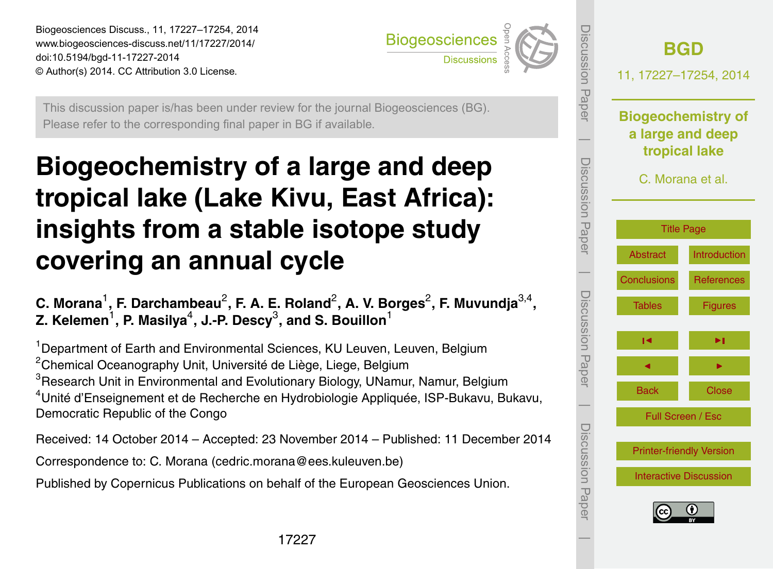<span id="page-0-0"></span>Biogeosciences Discuss., 11, 17227–17254, 2014 www.biogeosciences-discuss.net/11/17227/2014/ doi:10.5194/bgd-11-17227-2014 © Author(s) 2014. CC Attribution 3.0 License.



This discussion paper is/has been under review for the journal Biogeosciences (BG). Please refer to the corresponding final paper in BG if available.

# **Biogeochemistry of a large and deep tropical lake (Lake Kivu, East Africa): insights from a stable isotope study covering an annual cycle**

C. Morana<sup>1</sup>, F. Darchambeau<sup>2</sup>, F. A. E. Roland<sup>2</sup>, A. V. Borges<sup>2</sup>, F. Muvundja<sup>3,4</sup>, **Z. Kelemen** $^1$ **, P. Masilya** $^4$ **, J.-P. Descy** $^3$ **, and S. Bouillon** $^1$ 

<sup>1</sup> Department of Earth and Environmental Sciences, KU Leuven, Leuven, Belgium <sup>2</sup>Chemical Oceanography Unit, Université de Liège, Liege, Belgium <sup>3</sup>Research Unit in Environmental and Evolutionary Biology, UNamur, Namur, Belgium <sup>4</sup>Unité d'Enseignement et de Recherche en Hydrobiologie Appliquée, ISP-Bukavu, Bukavu, Democratic Republic of the Congo

Received: 14 October 2014 – Accepted: 23 November 2014 – Published: 11 December 2014

Correspondence to: C. Morana (cedric.morana@ees.kuleuven.be)

Published by Copernicus Publications on behalf of the European Geosciences Union.

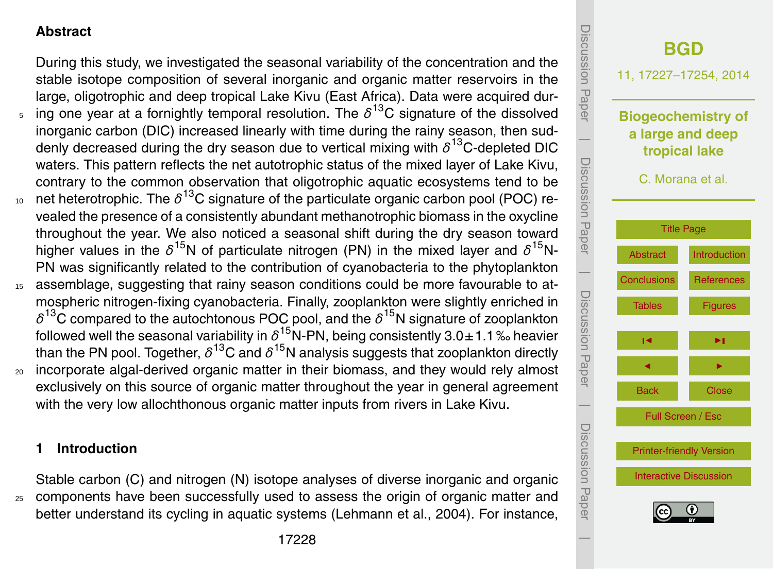## <span id="page-1-0"></span>**Abstract**

During this study, we investigated the seasonal variability of the concentration and the stable isotope composition of several inorganic and organic matter reservoirs in the large, oligotrophic and deep tropical Lake Kivu (East Africa). Data were acquired dur- $5$  ing one year at a fornightly temporal resolution. The  $δ^{13}$ C signature of the dissolved inorganic carbon (DIC) increased linearly with time during the rainy season, then suddenly decreased during the dry season due to vertical mixing with *δ* <sup>13</sup>C-depleted DIC waters. This pattern reflects the net autotrophic status of the mixed layer of Lake Kivu, contrary to the common observation that oligotrophic aquatic ecosystems tend to be  $10$  net heterotrophic. The  $\delta^{13}$ C signature of the particulate organic carbon pool (POC) revealed the presence of a consistently abundant methanotrophic biomass in the oxycline throughout the year. We also noticed a seasonal shift during the dry season toward higher values in the  $\delta^{15}$ N of particulate nitrogen (PN) in the mixed layer and  $\delta^{15}$ N-PN was significantly related to the contribution of cyanobacteria to the phytoplankton <sup>15</sup> assemblage, suggesting that rainy season conditions could be more favourable to atmospheric nitrogen-fixing cyanobacteria. Finally, zooplankton were slightly enriched in  $\delta^{13}$ C compared to the autochtonous POC pool, and the  $\delta^{15}$ N signature of zooplankton followed well the seasonal variability in  $\delta^{15}$ N-PN, being consistently 3.0±1.1‰ heavier than the PN pool. Together,  $\delta^{13}$ C and  $\delta^{15}$ N analysis suggests that zooplankton directly

<sup>20</sup> incorporate algal-derived organic matter in their biomass, and they would rely almost exclusively on this source of organic matter throughout the year in general agreement with the very low allochthonous organic matter inputs from rivers in Lake Kivu.

### **1 Introduction**

Stable carbon (C) and nitrogen (N) isotope analyses of diverse inorganic and organic <sup>25</sup> components have been successfully used to assess the origin of organic matter and better understand its cycling in aquatic systems (Lehmann et al., 2004). For instance,

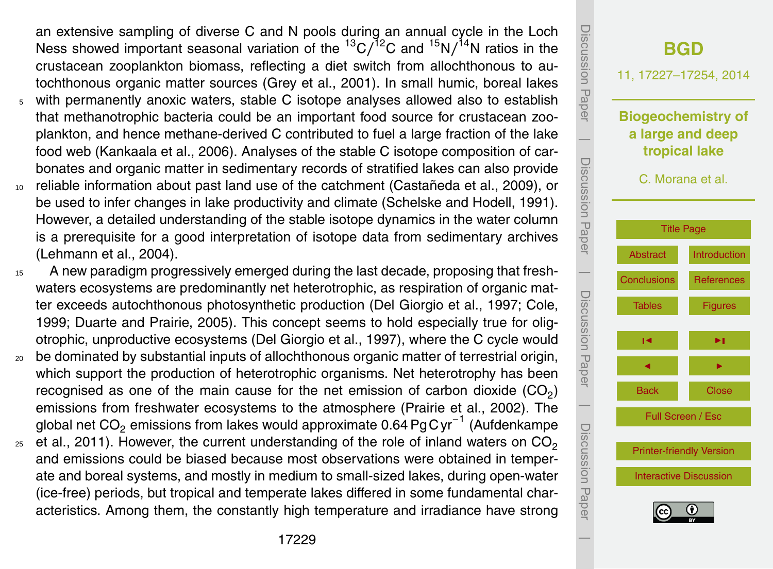an extensive sampling of diverse C and N pools during an annual cycle in the Loch Ness showed important seasonal variation of the <sup>13</sup>C/<sup>12</sup>C and <sup>15</sup>N/<sup>14</sup>N ratios in the crustacean zooplankton biomass, reflecting a diet switch from allochthonous to autochthonous organic matter sources (Grey et al., 2001). In small humic, boreal lakes <sup>5</sup> with permanently anoxic waters, stable C isotope analyses allowed also to establish

- that methanotrophic bacteria could be an important food source for crustacean zooplankton, and hence methane-derived C contributed to fuel a large fraction of the lake food web (Kankaala et al., 2006). Analyses of the stable C isotope composition of carbonates and organic matter in sedimentary records of stratified lakes can also provide
- <sup>10</sup> reliable information about past land use of the catchment (Castañeda et al., 2009), or be used to infer changes in lake productivity and climate (Schelske and Hodell, 1991). However, a detailed understanding of the stable isotope dynamics in the water column is a prerequisite for a good interpretation of isotope data from sedimentary archives (Lehmann et al., 2004).
- <sup>15</sup> A new paradigm progressively emerged during the last decade, proposing that freshwaters ecosystems are predominantly net heterotrophic, as respiration of organic matter exceeds autochthonous photosynthetic production (Del Giorgio et al., 1997; Cole, 1999; Duarte and Prairie, 2005). This concept seems to hold especially true for oligotrophic, unproductive ecosystems (Del Giorgio et al., 1997), where the C cycle would
- <sup>20</sup> be dominated by substantial inputs of allochthonous organic matter of terrestrial origin, which support the production of heterotrophic organisms. Net heterotrophy has been recognised as one of the main cause for the net emission of carbon dioxide (CO<sub>2</sub>) emissions from freshwater ecosystems to the atmosphere (Prairie et al., 2002). The global net CO<sub>2</sub> emissions from lakes would approximate 0.64 PgC yr<sup>−1</sup> (Aufdenkampe
- et al., 2011). However, the current understanding of the role of inland waters on  $CO<sub>2</sub>$ 25 and emissions could be biased because most observations were obtained in temperate and boreal systems, and mostly in medium to small-sized lakes, during open-water (ice-free) periods, but tropical and temperate lakes differed in some fundamental characteristics. Among them, the constantly high temperature and irradiance have strong

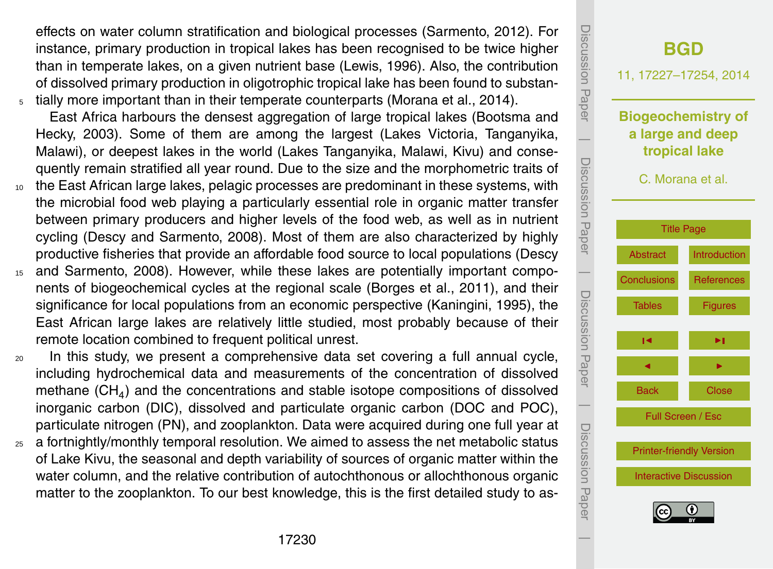effects on water column stratification and biological processes (Sarmento, 2012). For instance, primary production in tropical lakes has been recognised to be twice higher than in temperate lakes, on a given nutrient base (Lewis, 1996). Also, the contribution of dissolved primary production in oligotrophic tropical lake has been found to substan-<sup>5</sup> tially more important than in their temperate counterparts (Morana et al., 2014).

East Africa harbours the densest aggregation of large tropical lakes (Bootsma and Hecky, 2003). Some of them are among the largest (Lakes Victoria, Tanganyika, Malawi), or deepest lakes in the world (Lakes Tanganyika, Malawi, Kivu) and consequently remain stratified all year round. Due to the size and the morphometric traits of

- <sup>10</sup> the East African large lakes, pelagic processes are predominant in these systems, with the microbial food web playing a particularly essential role in organic matter transfer between primary producers and higher levels of the food web, as well as in nutrient cycling (Descy and Sarmento, 2008). Most of them are also characterized by highly productive fisheries that provide an affordable food source to local populations (Descy
- <sup>15</sup> and Sarmento, 2008). However, while these lakes are potentially important components of biogeochemical cycles at the regional scale (Borges et al., 2011), and their significance for local populations from an economic perspective (Kaningini, 1995), the East African large lakes are relatively little studied, most probably because of their remote location combined to frequent political unrest.
- <sup>20</sup> In this study, we present a comprehensive data set covering a full annual cycle, including hydrochemical data and measurements of the concentration of dissolved methane (CH<sub>4</sub>) and the concentrations and stable isotope compositions of dissolved inorganic carbon (DIC), dissolved and particulate organic carbon (DOC and POC), particulate nitrogen (PN), and zooplankton. Data were acquired during one full year at
- $25$  a fortnightly/monthly temporal resolution. We aimed to assess the net metabolic status of Lake Kivu, the seasonal and depth variability of sources of organic matter within the water column, and the relative contribution of autochthonous or allochthonous organic matter to the zooplankton. To our best knowledge, this is the first detailed study to as-

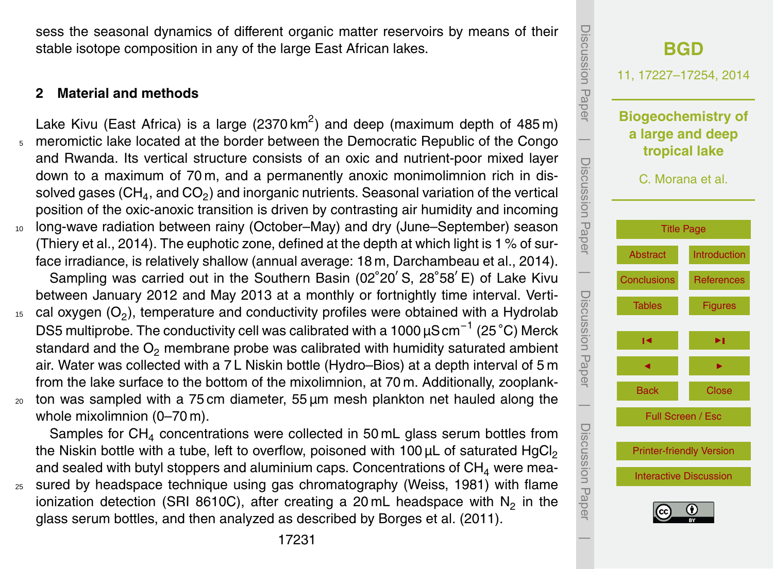sess the seasonal dynamics of different organic matter reservoirs by means of their stable isotope composition in any of the large East African lakes.

### **2 Material and methods**

- Lake Kivu (East Africa) is a large (2370 km<sup>2</sup>) and deep (maximum depth of 485 m) <sup>5</sup> meromictic lake located at the border between the Democratic Republic of the Congo and Rwanda. Its vertical structure consists of an oxic and nutrient-poor mixed layer down to a maximum of 70 m, and a permanently anoxic monimolimnion rich in dissolved gases (CH $_{\rm 4}$ , and CO $_{\rm 2}$ ) and inorganic nutrients. Seasonal variation of the vertical position of the oxic-anoxic transition is driven by contrasting air humidity and incoming <sup>10</sup> long-wave radiation between rainy (October–May) and dry (June–September) season (Thiery et al., 2014). The euphotic zone, defined at the depth at which light is 1 % of surface irradiance, is relatively shallow (annual average: 18 m, Darchambeau et al., 2014). Sampling was carried out in the Southern Basin (02°20' S, 28°58' E) of Lake Kivu between January 2012 and May 2013 at a monthly or fortnightly time interval. Verti- $15$  cal oxygen (O<sub>2</sub>), temperature and conductivity profiles were obtained with a Hydrolab DS5 multiprobe. The conductivity cell was calibrated with a 1000  $\mu$ S cm $^{-1}$  (25 °C) Merck standard and the  $O_2$  membrane probe was calibrated with humidity saturated ambient air. Water was collected with a 7 L Niskin bottle (Hydro–Bios) at a depth interval of 5 m from the lake surface to the bottom of the mixolimnion, at 70 m. Additionally, zooplank-
- $20$  ton was sampled with a 75 cm diameter, 55  $\mu$ m mesh plankton net hauled along the whole mixolimnion (0–70 m).

Samples for  $CH<sub>4</sub>$  concentrations were collected in 50 mL glass serum bottles from the Niskin bottle with a tube, left to overflow, poisoned with  $100 \mu L$  of saturated HgCl<sub>2</sub> and sealed with butyl stoppers and aluminium caps. Concentrations of  $CH<sub>4</sub>$  were mea-<sup>25</sup> sured by headspace technique using gas chromatography (Weiss, 1981) with flame ionization detection (SRI 8610C), after creating a 20 mL headspace with  $N_2$  in the glass serum bottles, and then analyzed as described by Borges et al. (2011).

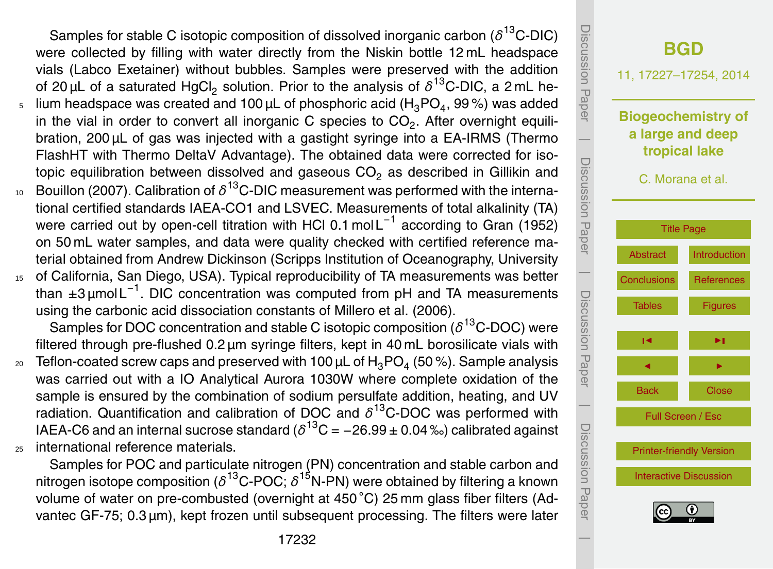Samples for stable C isotopic composition of dissolved inorganic carbon (*δ* <sup>13</sup>C-DIC) were collected by filling with water directly from the Niskin bottle 12 mL headspace vials (Labco Exetainer) without bubbles. Samples were preserved with the addition of 20 μL of a saturated HgCl<sub>2</sub> solution. Prior to the analysis of  $\delta^{13}$ C-DIC, a 2 mL he-

- $_5$   $\,$  lium headspace was created and 100  $\rm \mu L$  of phosphoric acid (H $_3$ PO $_4$ , 99 %) was added in the vial in order to convert all inorganic C species to  $\mathsf{CO}_2.$  After overnight equilibration, 200 µL of gas was injected with a gastight syringe into a EA-IRMS (Thermo FlashHT with Thermo DeltaV Advantage). The obtained data were corrected for isotopic equilibration between dissolved and gaseous  $CO<sub>2</sub>$  as described in Gillikin and
- $_{^{10}}$  Bouillon (2007). Calibration of  $\delta^{^{13}}$ C-DIC measurement was performed with the international certified standards IAEA-CO1 and LSVEC. Measurements of total alkalinity (TA) were carried out by open-cell titration with HCl 0.1 mol L<sup>-1</sup> according to Gran (1952) on 50 mL water samples, and data were quality checked with certified reference material obtained from Andrew Dickinson (Scripps Institution of Oceanography, University
- <sup>15</sup> of California, San Diego, USA). Typical reproducibility of TA measurements was better than ±3 μmol L<sup>-1</sup>. DIC concentration was computed from pH and TA measurements using the carbonic acid dissociation constants of Millero et al. (2006).

Samples for DOC concentration and stable C isotopic composition (*δ*<sup>13</sup>C-DOC) were filtered through pre-flushed 0.2 µm syringe filters, kept in 40 mL borosilicate vials with

 $_{\rm 20}$   $\,$  Teflon-coated screw caps and preserved with 100  $\rm \mu L$  of  $\rm H_3PO_4$  (50 %). Sample analysis was carried out with a IO Analytical Aurora 1030W where complete oxidation of the sample is ensured by the combination of sodium persulfate addition, heating, and UV radiation. Quantification and calibration of DOC and *δ* <sup>13</sup>C-DOC was performed with IAEA-C6 and an internal sucrose standard ( $\delta^{^{13}\rm{C}}$  = –26.99 ± 0.04 ‰) calibrated against <sup>25</sup> international reference materials.

Samples for POC and particulate nitrogen (PN) concentration and stable carbon and nitrogen isotope composition ( $\delta^{^{13}$ C-POC;  $\delta^{^{15}$ N-PN) were obtained by filtering a known volume of water on pre-combusted (overnight at 450 °C) 25 mm glass fiber filters (Advantec GF-75; 0.3 µm), kept frozen until subsequent processing. The filters were later

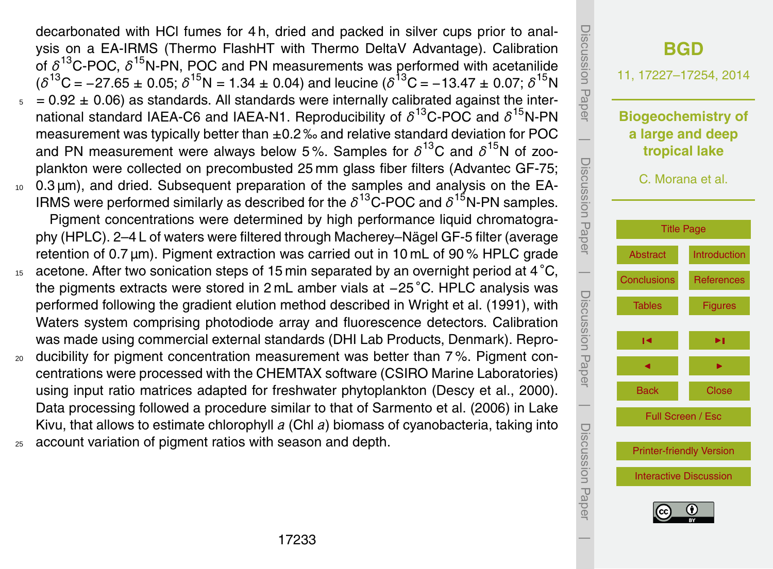decarbonated with HCl fumes for 4 h, dried and packed in silver cups prior to analysis on a EA-IRMS (Thermo FlashHT with Thermo DeltaV Advantage). Calibration of  $\delta^{13}$ C-POC,  $\delta^{15}$ N-PN, POC and PN measurements was performed with acetanilide  $(δ<sup>13</sup>C = -27.65 ± 0.05; δ<sup>15</sup>N = 1.34 ± 0.04)$  and leucine ( $δ<sup>13</sup>C = -13.47 ± 0.07; δ<sup>15</sup>N$ 

- $5 = 0.92 \pm 0.06$  as standards. All standards were internally calibrated against the international standard IAEA-C6 and IAEA-N1. Reproducibility of  $\delta^{13}$ C-POC and  $\delta^{15}$ N-PN measurement was typically better than  $\pm 0.2$ % and relative standard deviation for POC and PN measurement were always below 5%. Samples for  $\delta^{13}$ C and  $\delta^{15}$ N of zooplankton were collected on precombusted 25 mm glass fiber filters (Advantec GF-75;
- <sup>10</sup> 0.3 µm), and dried. Subsequent preparation of the samples and analysis on the EA-IRMS were performed similarly as described for the  $\delta^{13}$ C-POC and  $\delta^{15}$ N-PN samples. Pigment concentrations were determined by high performance liquid chromatography (HPLC). 2–4 L of waters were filtered through Macherey–Nägel GF-5 filter (average retention of 0.7 µm). Pigment extraction was carried out in 10 mL of 90 % HPLC grade
- $15$  acetone. After two sonication steps of 15 min separated by an overnight period at 4 °C, the pigments extracts were stored in 2 mL amber vials at −25 ◦C. HPLC analysis was performed following the gradient elution method described in Wright et al. (1991), with Waters system comprising photodiode array and fluorescence detectors. Calibration was made using commercial external standards (DHI Lab Products, Denmark). Repro-
- <sup>20</sup> ducibility for pigment concentration measurement was better than 7 %. Pigment concentrations were processed with the CHEMTAX software (CSIRO Marine Laboratories) using input ratio matrices adapted for freshwater phytoplankton (Descy et al., 2000). Data processing followed a procedure similar to that of Sarmento et al. (2006) in Lake Kivu, that allows to estimate chlorophyll *a* (Chl *a*) biomass of cyanobacteria, taking into
- <sup>25</sup> account variation of pigment ratios with season and depth.

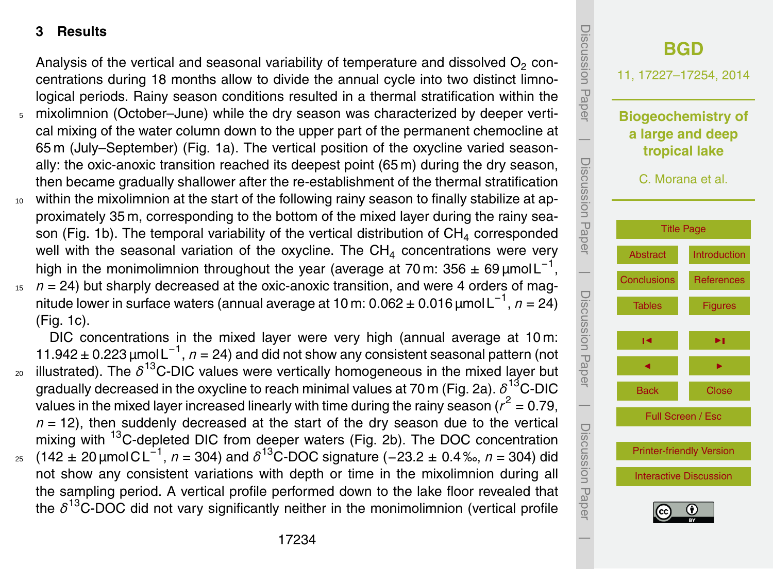## **3 Results**

Analysis of the vertical and seasonal variability of temperature and dissolved  $\mathsf{O}_2$  concentrations during 18 months allow to divide the annual cycle into two distinct limnological periods. Rainy season conditions resulted in a thermal stratification within the

- <sup>5</sup> mixolimnion (October–June) while the dry season was characterized by deeper vertical mixing of the water column down to the upper part of the permanent chemocline at 65 m (July–September) (Fig. 1a). The vertical position of the oxycline varied seasonally: the oxic-anoxic transition reached its deepest point (65 m) during the dry season, then became gradually shallower after the re-establishment of the thermal stratification
- <sup>10</sup> within the mixolimnion at the start of the following rainy season to finally stabilize at approximately 35 m, corresponding to the bottom of the mixed layer during the rainy season (Fig. 1b). The temporal variability of the vertical distribution of  $CH<sub>4</sub>$  corresponded well with the seasonal variation of the oxycline. The CH<sub>4</sub> concentrations were very high in the monimolimnion throughout the year (average at 70 m: 356 ± 69 µmol L<sup>-1</sup>,
- $15$   $n = 24$ ) but sharply decreased at the oxic-anoxic transition, and were 4 orders of magnitude lower in surface waters (annual average at 10 m: 0.062 ± 0.016 µmol L−<sup>1</sup> , *n* = 24) (Fig. 1c).

DIC concentrations in the mixed layer were very high (annual average at 10 m: 11.942 ± 0.223 µmol L−<sup>1</sup> , *n* = 24) and did not show any consistent seasonal pattern (not  $_{\text{20}}$  illustrated). The  $\delta^{13}$ C-DIC values were vertically homogeneous in the mixed layer but gradually decreased in the oxycline to reach minimal values at 70 m (Fig. 2a). *δ* <sup>13</sup>C-DIC values in the mixed layer increased linearly with time during the rainy season ( $r^2$  = 0.79,  $n = 12$ ), then suddenly decreased at the start of the dry season due to the vertical mixing with <sup>13</sup>C-depleted DIC from deeper waters (Fig. 2b). The DOC concentration 25 (142 ± 20 μmol C L<sup>-1</sup>, *n* = 304) and *δ*<sup>13</sup>C-DOC signature (-23.2 ± 0.4‰, *n* = 304) did not show any consistent variations with depth or time in the mixolimnion during all the sampling period. A vertical profile performed down to the lake floor revealed that



the *δ* <sup>13</sup>C-DOC did not vary significantly neither in the monimolimnion (vertical profile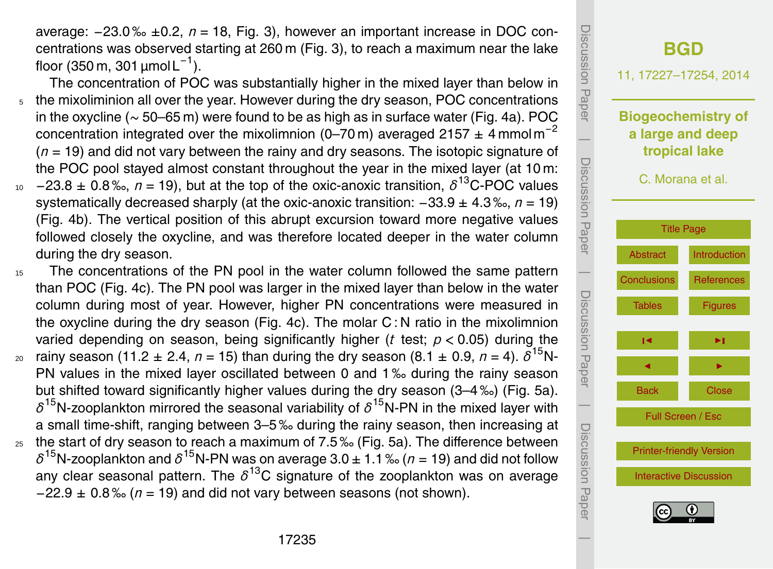average: −23.0 ‰ ±0.2, *n* = 18, Fig. 3), however an important increase in DOC concentrations was observed starting at 260 m (Fig. 3), to reach a maximum near the lake floor (350 m, 301  $\mu$ mol L $^{-1}$ ).

- The concentration of POC was substantially higher in the mixed layer than below in <sub>5</sub> the mixoliminion all over the year. However during the dry season, POC concentrations in the oxycline (∼ 50–65 m) were found to be as high as in surface water (Fig. 4a). POC concentration integrated over the mixolimnion (0–70 m) averaged 2157  $\pm$  4 mmol m<sup>-2</sup> (*n* = 19) and did not vary between the rainy and dry seasons. The isotopic signature of the POC pool stayed almost constant throughout the year in the mixed layer (at 10 m: <sup>10</sup> -23.8 ± 0.8‰, *n* = 19), but at the top of the oxic-anoxic transition, δ<sup>13</sup>C-POC values systematically decreased sharply (at the oxic-anoxic transition: −33.9 ± 4.3 ‰, *n* = 19) (Fig. 4b). The vertical position of this abrupt excursion toward more negative values
	- followed closely the oxycline, and was therefore located deeper in the water column during the dry season.
- <sup>15</sup> The concentrations of the PN pool in the water column followed the same pattern than POC (Fig. 4c). The PN pool was larger in the mixed layer than below in the water column during most of year. However, higher PN concentrations were measured in the oxycline during the dry season (Fig. 4c). The molar C : N ratio in the mixolimnion varied depending on season, being significantly higher (*t* test; *p <* 0.05) during the  $20$  rainy season (11.2 ± 2.4, *n* = 15) than during the dry season (8.1 ± 0.9, *n* = 4).  $\delta^{15}$ N-PN values in the mixed layer oscillated between 0 and 1‰ during the rainy season but shifted toward significantly higher values during the dry season (3–4 ‰) (Fig. 5a).  $\delta^{15}$ N-zooplankton mirrored the seasonal variability of  $\delta^{15}$ N-PN in the mixed layer with a small time-shift, ranging between 3–5 ‰ during the rainy season, then increasing at  $_{25}$  the start of dry season to reach a maximum of 7.5% (Fig. 5a). The difference between  $\delta^{15}$ N-zooplankton and  $\delta^{15}$ N-PN was on average 3.0  $\pm$  1.1 ‰ ( $n$  = 19) and did not follow any clear seasonal pattern. The *δ* <sup>13</sup>C signature of the zooplankton was on average −22.9 ± 0.8 ‰ (*n* = 19) and did not vary between seasons (not shown).

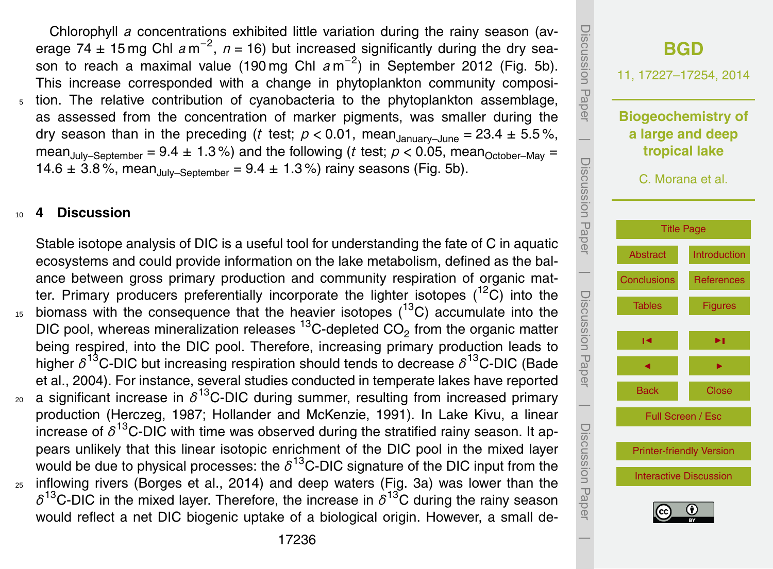<span id="page-9-0"></span>Chlorophyll *a* concentrations exhibited little variation during the rainy season (average 74  $\pm$  15 mg Chl  $a$  m<sup>-2</sup>,  $n = 16$ ) but increased significantly during the dry season to reach a maximal value (190 mg Chl  $a$  m<sup>-2</sup>) in September 2012 (Fig. 5b). This increase corresponded with a change in phytoplankton community composition. The relative contribution of cyanobacteria to the phytoplankton assemblage, as assessed from the concentration of marker pigments, was smaller during the dry season than in the preceding (*t* test;  $p < 0.01$ , mean<sub>January–June</sub> = 23.4  $\pm$  5.5%, mean<sub>July–September</sub> = 9.4  $\pm$  1.3%) and the following (*t* test; *p* < 0.05, mean<sub>October–May =</sub> 14.6  $\pm$  3.8%, mean<sub>July–September</sub> = 9.4  $\pm$  1.3%) rainy seasons (Fig. 5b).

#### <sup>10</sup> **4 Discussion**

Stable isotope analysis of DIC is a useful tool for understanding the fate of C in aquatic ecosystems and could provide information on the lake metabolism, defined as the balance between gross primary production and community respiration of organic matter. Primary producers preferentially incorporate the lighter isotopes  $(^{12}C)$  into the  $15$  biomass with the consequence that the heavier isotopes ( $13$ C) accumulate into the DIC pool, whereas mineralization releases  $^{13}$ C-depleted CO<sub>2</sub> from the organic matter being respired, into the DIC pool. Therefore, increasing primary production leads to higher *δ* <sup>13</sup>C-DIC but increasing respiration should tends to decrease *δ* <sup>13</sup>C-DIC (Bade et al., 2004). For instance, several studies conducted in temperate lakes have reported  $_{\text{20}}$  a significant increase in  $\delta^{13}$ C-DIC during summer, resulting from increased primary production (Herczeg, 1987; Hollander and McKenzie, 1991). In Lake Kivu, a linear increase of *δ* <sup>13</sup>C-DIC with time was observed during the stratified rainy season. It appears unlikely that this linear isotopic enrichment of the DIC pool in the mixed layer would be due to physical processes: the  $\delta^{13}$ C-DIC signature of the DIC input from the <sup>25</sup> inflowing rivers (Borges et al., 2014) and deep waters (Fig. 3a) was lower than the  $\delta^{13}$ C-DIC in the mixed layer. Therefore, the increase in  $\delta^{13}$ C during the rainy season would reflect a net DIC biogenic uptake of a biological origin. However, a small de-

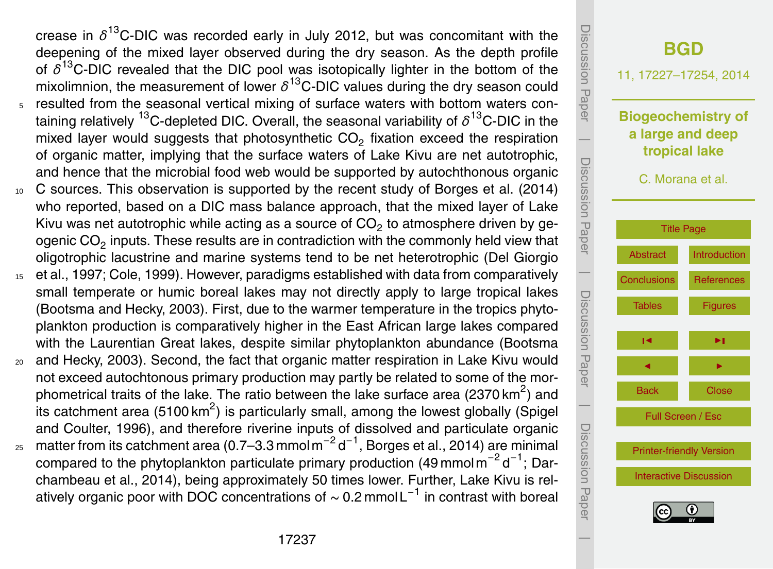crease in *δ* <sup>13</sup>C-DIC was recorded early in July 2012, but was concomitant with the deepening of the mixed layer observed during the dry season. As the depth profile of *δ* <sup>13</sup>C-DIC revealed that the DIC pool was isotopically lighter in the bottom of the mixolimnion, the measurement of lower  $\delta^{13}$ C-DIC values during the dry season could <sup>5</sup> resulted from the seasonal vertical mixing of surface waters with bottom waters containing relatively <sup>13</sup>C-depleted DIC. Overall, the seasonal variability of *δ* <sup>13</sup>C-DIC in the mixed layer would suggests that photosynthetic  $CO<sub>2</sub>$  fixation exceed the respiration of organic matter, implying that the surface waters of Lake Kivu are net autotrophic, and hence that the microbial food web would be supported by autochthonous organic

- 10 C sources. This observation is supported by the recent study of Borges et al. (2014) who reported, based on a DIC mass balance approach, that the mixed layer of Lake Kivu was net autotrophic while acting as a source of CO<sub>2</sub> to atmosphere driven by geogenic CO<sub>2</sub> inputs. These results are in contradiction with the commonly held view that oligotrophic lacustrine and marine systems tend to be net heterotrophic (Del Giorgio
- <sup>15</sup> et al., 1997; Cole, 1999). However, paradigms established with data from comparatively small temperate or humic boreal lakes may not directly apply to large tropical lakes (Bootsma and Hecky, 2003). First, due to the warmer temperature in the tropics phytoplankton production is comparatively higher in the East African large lakes compared with the Laurentian Great lakes, despite similar phytoplankton abundance (Bootsma
- <sup>20</sup> and Hecky, 2003). Second, the fact that organic matter respiration in Lake Kivu would not exceed autochtonous primary production may partly be related to some of the morphometrical traits of the lake. The ratio between the lake surface area (2370 km<sup>2</sup>) and its catchment area (5100 km<sup>2</sup>) is particularly small, among the lowest globally (Spigel and Coulter, 1996), and therefore riverine inputs of dissolved and particulate organic  $_{\rm 25}$   $\,$  matter from its catchment area (0.7–3.3 mmol m $^{-2}$  d $^{-1}$ , Borges et al., 2014) are minimal compared to the phytoplankton particulate primary production (49 mmol m<sup>-2</sup> d<sup>-1</sup>; Dar-
- chambeau et al., 2014), being approximately 50 times lower. Further, Lake Kivu is relatively organic poor with DOC concentrations of  $\sim$  0.2 mmol L<sup>-1</sup> in contrast with boreal

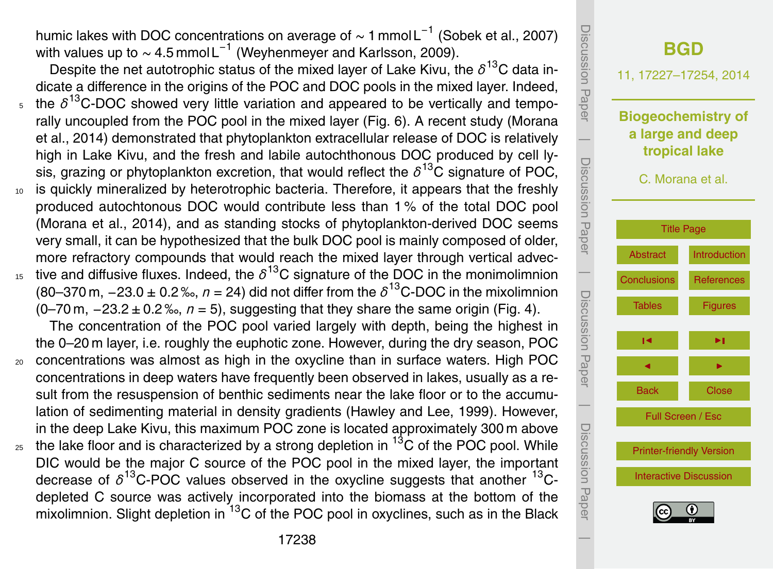humic lakes with DOC concentrations on average of  $\sim$  1 mmol L $^{-1}$  (Sobek et al., 2007) with values up to  $\sim$  4.5 mmol L<sup>-1</sup> (Weyhenmeyer and Karlsson, 2009).

Despite the net autotrophic status of the mixed layer of Lake Kivu, the *δ* <sup>13</sup>C data indicate a difference in the origins of the POC and DOC pools in the mixed layer. Indeed,  $_5$  the  $\delta^{13}$ C-DOC showed very little variation and appeared to be vertically and temporally uncoupled from the POC pool in the mixed layer (Fig. 6). A recent study (Morana et al., 2014) demonstrated that phytoplankton extracellular release of DOC is relatively high in Lake Kivu, and the fresh and labile autochthonous DOC produced by cell lysis, grazing or phytoplankton excretion, that would reflect the *δ* <sup>13</sup>C signature of POC,

- 10 is quickly mineralized by heterotrophic bacteria. Therefore, it appears that the freshly produced autochtonous DOC would contribute less than 1 % of the total DOC pool (Morana et al., 2014), and as standing stocks of phytoplankton-derived DOC seems very small, it can be hypothesized that the bulk DOC pool is mainly composed of older, more refractory compounds that would reach the mixed layer through vertical advec-15 tive and diffusive fluxes. Indeed, the  $\delta^{13}$ C signature of the DOC in the monimolimnion
	- (80–370 m,  $-23.0 \pm 0.2$  ‰,  $n = 24$ ) did not differ from the  $\delta^{13}$ C-DOC in the mixolimnion (0–70 m, −23.2 ± 0.2 ‰, *n* = 5), suggesting that they share the same origin (Fig. 4).

The concentration of the POC pool varied largely with depth, being the highest in the 0–20 m layer, i.e. roughly the euphotic zone. However, during the dry season, POC

- <sup>20</sup> concentrations was almost as high in the oxycline than in surface waters. High POC concentrations in deep waters have frequently been observed in lakes, usually as a result from the resuspension of benthic sediments near the lake floor or to the accumulation of sedimenting material in density gradients (Hawley and Lee, 1999). However, in the deep Lake Kivu, this maximum POC zone is located approximately 300 m above
- $_{25}$  the lake floor and is characterized by a strong depletion in  $^{13}$ C of the POC pool. While DIC would be the major C source of the POC pool in the mixed layer, the important decrease of  $\delta^{13}$ C-POC values observed in the oxycline suggests that another  $^{13}$ Cdepleted C source was actively incorporated into the biomass at the bottom of the mixolimnion. Slight depletion in  ${}^{13}C$  of the POC pool in oxyclines, such as in the Black

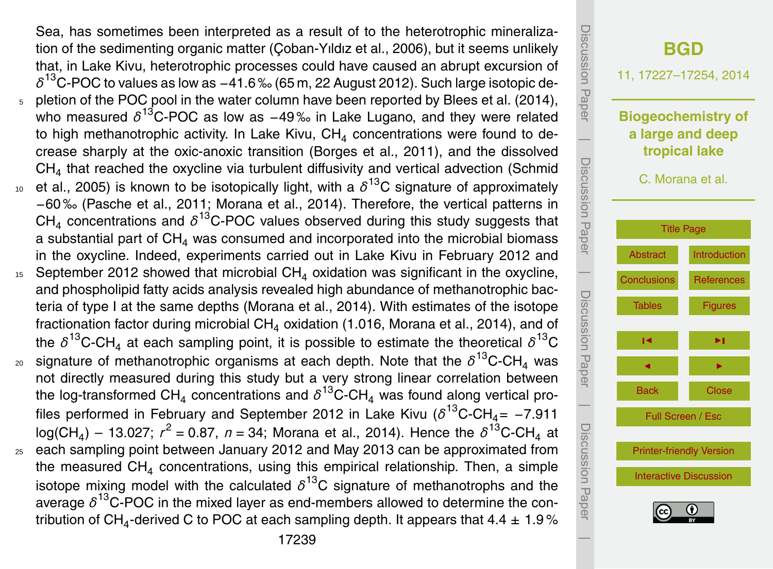Sea, has sometimes been interpreted as a result of to the heterotrophic mineralization of the sedimenting organic matter (Çoban-Yıldız et al., 2006), but it seems unlikely that, in Lake Kivu, heterotrophic processes could have caused an abrupt excursion of  $\delta^{^{13}}$ C-POC to values as low as −41.6‰ (65 m, 22 August 2012). Such large isotopic depletion of the POC pool in the water column have been reported by Blees et al. (2014), who measured  $\delta^{13}$ C-POC as low as −49‰ in Lake Lugano, and they were related to high methanotrophic activity. In Lake Kivu, CH<sub>4</sub> concentrations were found to decrease sharply at the oxic-anoxic transition (Borges et al., 2011), and the dissolved  $CH<sub>4</sub>$  that reached the oxycline via turbulent diffusivity and vertical advection (Schmid  $10$  et al., 2005) is known to be isotopically light, with a  $\delta^{13}$ C signature of approximately −60 ‰ (Pasche et al., 2011; Morana et al., 2014). Therefore, the vertical patterns in  $CH_4$  concentrations and  $\delta^{13}$ C-POC values observed during this study suggests that a substantial part of  $CH<sub>4</sub>$  was consumed and incorporated into the microbial biomass in the oxycline. Indeed, experiments carried out in Lake Kivu in February 2012 and <sup>15</sup> September 2012 showed that microbial CH<sub>4</sub> oxidation was significant in the oxycline, and phospholipid fatty acids analysis revealed high abundance of methanotrophic bacteria of type I at the same depths (Morana et al., 2014). With estimates of the isotope fractionation factor during microbial  $CH<sub>4</sub>$  oxidation (1.016, Morana et al., 2014), and of the  $\delta^{13}$ C-CH<sub>4</sub> at each sampling point, it is possible to estimate the theoretical  $\delta^{13}$ C  $_{\text{20}}$  signature of methanotrophic organisms at each depth. Note that the  $\delta^{13}$ C-CH<sub>4</sub> was not directly measured during this study but a very strong linear correlation between

the log-transformed CH<sub>4</sub> concentrations and  $\delta^{^{13}}$ C-CH<sub>4</sub> was found along vertical profiles performed in February and September 2012 in Lake Kivu ( $\delta^{13}$ C-CH<sub>4</sub>= -7.911  $log(CH_4) - 13.027$ ;  $r^2 = 0.87$ ,  $n = 34$ ; Morana et al., 2014). Hence the  $\delta^{13}$ C-CH<sub>4</sub> at <sup>25</sup> each sampling point between January 2012 and May 2013 can be approximated from the measured  $CH<sub>4</sub>$  concentrations, using this empirical relationship. Then, a simple isotope mixing model with the calculated  $\delta^{13}$ C signature of methanotrophs and the average *δ* <sup>13</sup>C-POC in the mixed layer as end-members allowed to determine the contribution of CH<sub>4</sub>-derived C to POC at each sampling depth. It appears that 4.4  $\pm$  1.9 %

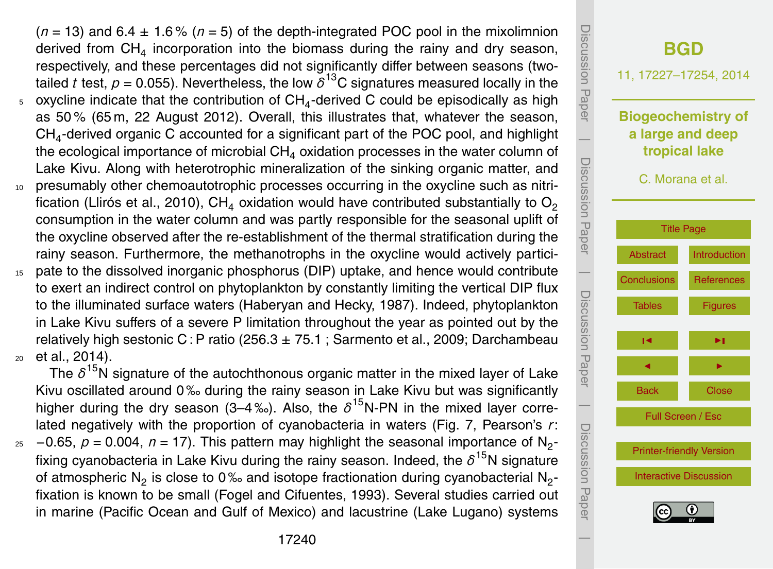$(n = 13)$  and  $6.4 \pm 1.6\%$   $(n = 5)$  of the depth-integrated POC pool in the mixolimnion derived from  $\textsf{CH}_4$  incorporation into the biomass during the rainy and dry season, respectively, and these percentages did not significantly differ between seasons (twotailed *t* test,  $\rho$  = 0.055). Nevertheless, the low  $\delta^{13}$ C signatures measured locally in the  $_5$  oxycline indicate that the contribution of CH<sub>4</sub>-derived C could be episodically as high as 50 % (65 m, 22 August 2012). Overall, this illustrates that, whatever the season,  $\textsf{CH}_{4}$ -derived organic C accounted for a significant part of the POC pool, and highlight the ecological importance of microbial  $CH<sub>4</sub>$  oxidation processes in the water column of Lake Kivu. Along with heterotrophic mineralization of the sinking organic matter, and <sup>10</sup> presumably other chemoautotrophic processes occurring in the oxycline such as nitrification (Llirós et al., 2010), CH<sub>4</sub> oxidation would have contributed substantially to  $O<sub>2</sub>$ consumption in the water column and was partly responsible for the seasonal uplift of the oxycline observed after the re-establishment of the thermal stratification during the rainy season. Furthermore, the methanotrophs in the oxycline would actively partici-<sup>15</sup> pate to the dissolved inorganic phosphorus (DIP) uptake, and hence would contribute

to exert an indirect control on phytoplankton by constantly limiting the vertical DIP flux to the illuminated surface waters (Haberyan and Hecky, 1987). Indeed, phytoplankton in Lake Kivu suffers of a severe P limitation throughout the year as pointed out by the relatively high sestonic C: P ratio (256.3  $\pm$  75.1; Sarmento et al., 2009; Darchambeau <sup>20</sup> et al., 2014).

The *δ* <sup>15</sup>N signature of the autochthonous organic matter in the mixed layer of Lake Kivu oscillated around 0‰ during the rainy season in Lake Kivu but was significantly higher during the dry season (3–4‰). Also, the  $\delta^{15}$ N-PN in the mixed layer correlated negatively with the proportion of cyanobacteria in waters (Fig. 7, Pearson's *r*:

25 -0.65,  $p = 0.004$ ,  $n = 17$ ). This pattern may highlight the seasonal importance of N<sub>2</sub>fixing cyanobacteria in Lake Kivu during the rainy season. Indeed, the  $\delta^{15}$ N signature of atmospheric N<sub>2</sub> is close to 0% and isotope fractionation during cyanobacterial N<sub>2</sub>fixation is known to be small (Fogel and Cifuentes, 1993). Several studies carried out in marine (Pacific Ocean and Gulf of Mexico) and lacustrine (Lake Lugano) systems

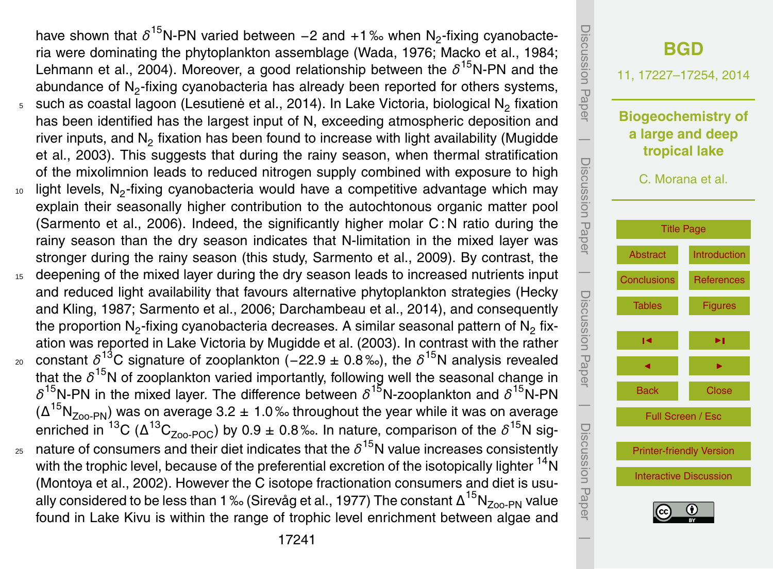have shown that δ<sup>15</sup>N-PN varied between -2 and +1‰ when N<sub>2</sub>-fixing cyanobacteria were dominating the phytoplankton assemblage (Wada, 1976; Macko et al., 1984; Lehmann et al., 2004). Moreover, a good relationship between the *δ*<sup>15</sup>N-PN and the abundance of  $\mathsf{N}_2$ -fixing cyanobacteria has already been reported for others systems,  $_{5}$   $\,$  such as coastal lagoon (Lesutienė et al., 2014). In Lake Victoria, biological N $_{2}$  fixation has been identified has the largest input of N, exceeding atmospheric deposition and river inputs, and  $N<sub>2</sub>$  fixation has been found to increase with light availability (Mugidde et al., 2003). This suggests that during the rainy season, when thermal stratification of the mixolimnion leads to reduced nitrogen supply combined with exposure to high  $10$  light levels, N<sub>2</sub>-fixing cyanobacteria would have a competitive advantage which may

- explain their seasonally higher contribution to the autochtonous organic matter pool (Sarmento et al., 2006). Indeed, the significantly higher molar  $C$ : N ratio during the rainy season than the dry season indicates that N-limitation in the mixed layer was stronger during the rainy season (this study, Sarmento et al., 2009). By contrast, the
- <sup>15</sup> deepening of the mixed layer during the dry season leads to increased nutrients input and reduced light availability that favours alternative phytoplankton strategies (Hecky and Kling, 1987; Sarmento et al., 2006; Darchambeau et al., 2014), and consequently the proportion  $\mathsf{N}_2$ -fixing cyanobacteria decreases. A similar seasonal pattern of  $\mathsf{N}_2$  fixation was reported in Lake Victoria by Mugidde et al. (2003). In contrast with the rather
- 20 constant δ<sup>13</sup>C signature of zooplankton (−22.9 ± 0.8‰), the δ<sup>15</sup>N analysis revealed that the δ<sup>15</sup>N of zooplankton varied importantly, following well the seasonal change in *δ* <sup>15</sup>N-PN in the mixed layer. The difference between *δ* <sup>15</sup>N-zooplankton and *δ* <sup>15</sup>N-PN ( $\Delta^{15}N_{\text{Zoo-PN}}$ ) was on average 3.2 ± 1.0% throughout the year while it was on average enriched in <sup>13</sup>C (Δ<sup>13</sup>C<sub>Zoo-POC</sub>) by 0.9 ± 0.8‰. In nature, comparison of the  $\delta^{15}$ N sig- $_{\rm z5}$  nature of consumers and their diet indicates that the  $\delta^{15}$ N value increases consistently
- with the trophic level, because of the preferential excretion of the isotopically lighter <sup>14</sup>N (Montoya et al., 2002). However the C isotope fractionation consumers and diet is usually considered to be less than 1 ‰ (Sirevåg et al., 1977) The constant  $\Delta^{15}N_{Zoo-PN}$  value found in Lake Kivu is within the range of trophic level enrichment between algae and

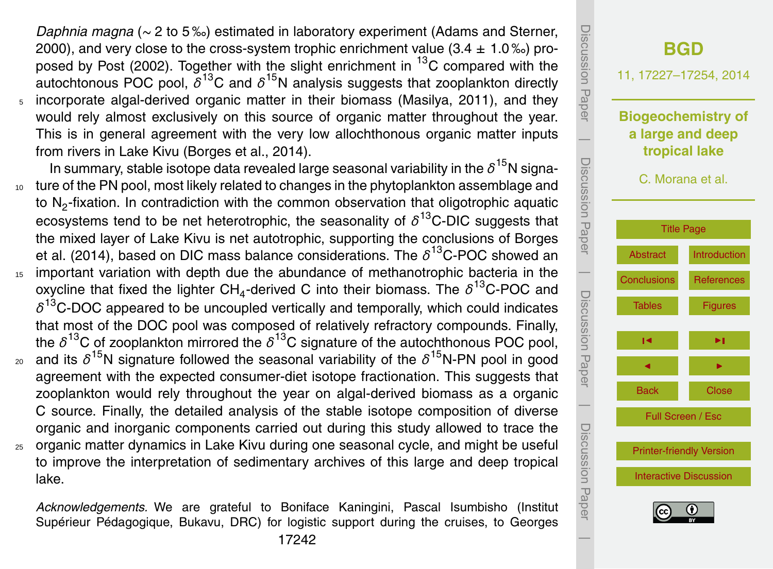*Daphnia magna* (∼ 2 to 5 ‰) estimated in laboratory experiment (Adams and Sterner, 2000), and very close to the cross-system trophic enrichment value  $(3.4 \pm 1.0\%)$  proposed by Post (2002). Together with the slight enrichment in  $^{13}$ C compared with the autochtonous POC pool, *δ* <sup>13</sup>C and *δ* <sup>15</sup>N analysis suggests that zooplankton directly <sup>5</sup> incorporate algal-derived organic matter in their biomass (Masilya, 2011), and they would rely almost exclusively on this source of organic matter throughout the year. This is in general agreement with the very low allochthonous organic matter inputs from rivers in Lake Kivu (Borges et al., 2014).

In summary, stable isotope data revealed large seasonal variability in the *δ* <sup>15</sup>N signa-<sup>10</sup> ture of the PN pool, most likely related to changes in the phytoplankton assemblage and to N<sub>2</sub>-fixation. In contradiction with the common observation that oligotrophic aquatic ecosystems tend to be net heterotrophic, the seasonality of *δ* <sup>13</sup>C-DIC suggests that the mixed layer of Lake Kivu is net autotrophic, supporting the conclusions of Borges et al. (2014), based on DIC mass balance considerations. The *δ* <sup>13</sup>C-POC showed an <sup>15</sup> important variation with depth due the abundance of methanotrophic bacteria in the oxycline that fixed the lighter CH<sub>4</sub>-derived C into their biomass. The  $\delta^{13}$ C-POC and  $\delta^{13}$ C-DOC appeared to be uncoupled vertically and temporally, which could indicates that most of the DOC pool was composed of relatively refractory compounds. Finally, the  $\delta^{13}$ C of zooplankton mirrored the  $\delta^{13}$ C signature of the autochthonous POC pool,

- <sup>20</sup> and its  $\delta^{15}$ N signature followed the seasonal variability of the  $\delta^{15}$ N-PN pool in good agreement with the expected consumer-diet isotope fractionation. This suggests that zooplankton would rely throughout the year on algal-derived biomass as a organic C source. Finally, the detailed analysis of the stable isotope composition of diverse organic and inorganic components carried out during this study allowed to trace the
- <sup>25</sup> organic matter dynamics in Lake Kivu during one seasonal cycle, and might be useful to improve the interpretation of sedimentary archives of this large and deep tropical lake.

*Acknowledgements.* We are grateful to Boniface Kaningini, Pascal Isumbisho (Institut Supérieur Pédagogique, Bukavu, DRC) for logistic support during the cruises, to Georges

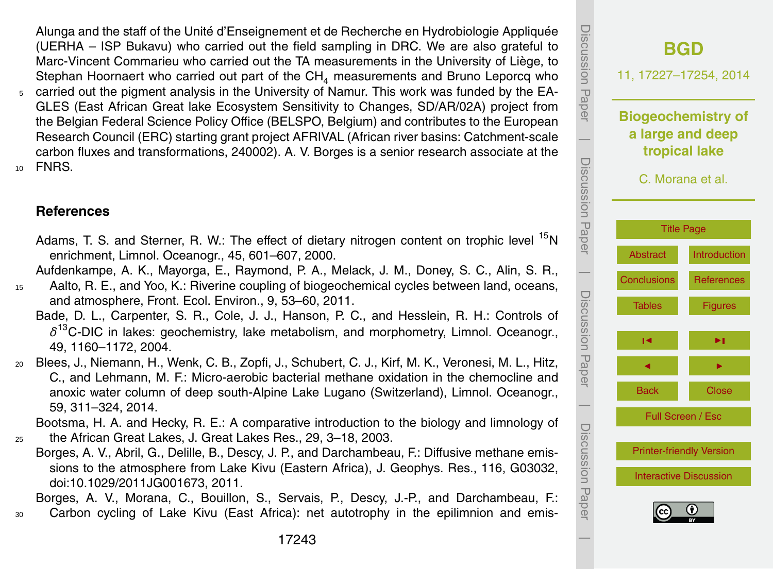<span id="page-16-0"></span>Alunga and the staff of the Unité d'Enseignement et de Recherche en Hydrobiologie Appliquée (UERHA – ISP Bukavu) who carried out the field sampling in DRC. We are also grateful to Marc-Vincent Commarieu who carried out the TA measurements in the University of Liège, to Stephan Hoornaert who carried out part of the  $CH<sub>4</sub>$  measurements and Bruno Leporcq who

<sup>5</sup> carried out the pigment analysis in the University of Namur. This work was funded by the EA-GLES (East African Great lake Ecosystem Sensitivity to Changes, SD/AR/02A) project from the Belgian Federal Science Policy Office (BELSPO, Belgium) and contributes to the European Research Council (ERC) starting grant project AFRIVAL (African river basins: Catchment-scale carbon fluxes and transformations, 240002). A. V. Borges is a senior research associate at the <sup>10</sup> FNRS.

### **References**

Adams, T. S. and Sterner, R. W.: The effect of dietary nitrogen content on trophic level <sup>15</sup>N enrichment, Limnol. Oceanogr., 45, 601–607, 2000.

Aufdenkampe, A. K., Mayorga, E., Raymond, P. A., Melack, J. M., Doney, S. C., Alin, S. R.,

- <sup>15</sup> Aalto, R. E., and Yoo, K.: Riverine coupling of biogeochemical cycles between land, oceans, and atmosphere, Front. Ecol. Environ., 9, 53–60, 2011.
	- Bade, D. L., Carpenter, S. R., Cole, J. J., Hanson, P. C., and Hesslein, R. H.: Controls of *δ* <sup>13</sup>C-DIC in lakes: geochemistry, lake metabolism, and morphometry, Limnol. Oceanogr., 49, 1160–1172, 2004.
- <sup>20</sup> Blees, J., Niemann, H., Wenk, C. B., Zopfi, J., Schubert, C. J., Kirf, M. K., Veronesi, M. L., Hitz, C., and Lehmann, M. F.: Micro-aerobic bacterial methane oxidation in the chemocline and anoxic water column of deep south-Alpine Lake Lugano (Switzerland), Limnol. Oceanogr., 59, 311–324, 2014.

Bootsma, H. A. and Hecky, R. E.: A comparative introduction to the biology and limnology of <sup>25</sup> the African Great Lakes, J. Great Lakes Res., 29, 3–18, 2003.

Borges, A. V., Abril, G., Delille, B., Descy, J. P., and Darchambeau, F.: Diffusive methane emissions to the atmosphere from Lake Kivu (Eastern Africa), J. Geophys. Res., 116, G03032, doi[:10.1029/2011JG001673,](http://dx.doi.org/10.1029/2011JG001673) 2011.

Borges, A. V., Morana, C., Bouillon, S., Servais, P., Descy, J.-P., and Darchambeau, F.: <sup>30</sup> Carbon cycling of Lake Kivu (East Africa): net autotrophy in the epilimnion and emis-

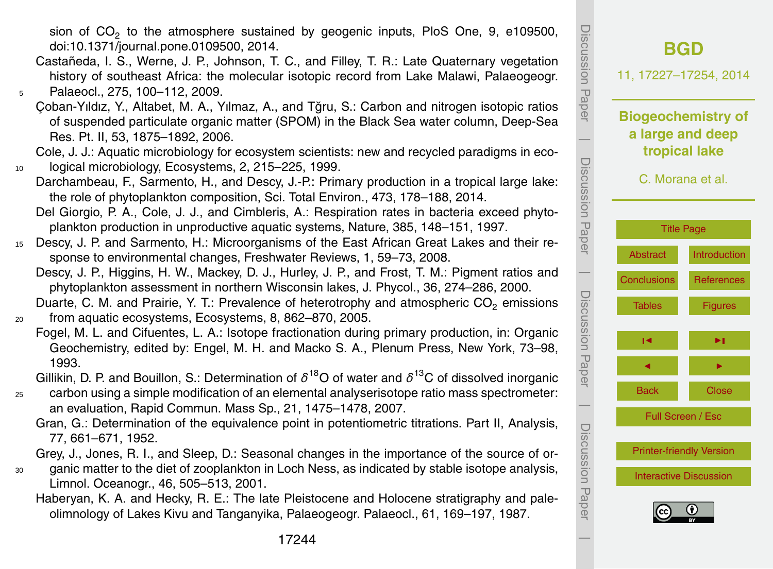sion of  $CO_2$  to the atmosphere sustained by geogenic inputs, PloS One, 9, e109500, doi[:10.1371/journal.pone.0109500,](http://dx.doi.org/10.1371/journal.pone.0109500) 2014.

- Castañeda, I. S., Werne, J. P., Johnson, T. C., and Filley, T. R.: Late Quaternary vegetation history of southeast Africa: the molecular isotopic record from Lake Malawi, Palaeogeogr. <sup>5</sup> Palaeocl., 275, 100–112, 2009.
	- Çoban-Yıldız, Y., Altabet, M. A., Yılmaz, A., and Tğru, S.: Carbon and nitrogen isotopic ratios of suspended particulate organic matter (SPOM) in the Black Sea water column, Deep-Sea Res. Pt. II, 53, 1875–1892, 2006.

Cole, J. J.: Aquatic microbiology for ecosystem scientists: new and recycled paradigms in eco-<sup>10</sup> logical microbiology, Ecosystems, 2, 215–225, 1999.

Darchambeau, F., Sarmento, H., and Descy, J.-P.: Primary production in a tropical large lake: the role of phytoplankton composition, Sci. Total Environ., 473, 178–188, 2014.

Del Giorgio, P. A., Cole, J. J., and Cimbleris, A.: Respiration rates in bacteria exceed phytoplankton production in unproductive aquatic systems, Nature, 385, 148–151, 1997.

- <sup>15</sup> Descy, J. P. and Sarmento, H.: Microorganisms of the East African Great Lakes and their response to environmental changes, Freshwater Reviews, 1, 59–73, 2008.
	- Descy, J. P., Higgins, H. W., Mackey, D. J., Hurley, J. P., and Frost, T. M.: Pigment ratios and phytoplankton assessment in northern Wisconsin lakes, J. Phycol., 36, 274–286, 2000.

Duarte, C. M. and Prairie, Y. T.: Prevalence of heterotrophy and atmospheric  $CO<sub>2</sub>$  emissions <sup>20</sup> from aquatic ecosystems, Ecosystems, 8, 862–870, 2005.

Fogel, M. L. and Cifuentes, L. A.: Isotope fractionation during primary production, in: Organic Geochemistry, edited by: Engel, M. H. and Macko S. A., Plenum Press, New York, 73–98, 1993.

Gillikin, D. P. and Bouillon, S.: Determination of *δ* <sup>18</sup>O of water and *δ* <sup>13</sup>C of dissolved inorganic

<sup>25</sup> carbon using a simple modification of an elemental analyserisotope ratio mass spectrometer: an evaluation, Rapid Commun. Mass Sp., 21, 1475–1478, 2007.

Gran, G.: Determination of the equivalence point in potentiometric titrations. Part II, Analysis, 77, 661–671, 1952.

Grey, J., Jones, R. I., and Sleep, D.: Seasonal changes in the importance of the source of or-

- <sup>30</sup> ganic matter to the diet of zooplankton in Loch Ness, as indicated by stable isotope analysis, Limnol. Oceanogr., 46, 505–513, 2001.
	- Haberyan, K. A. and Hecky, R. E.: The late Pleistocene and Holocene stratigraphy and paleolimnology of Lakes Kivu and Tanganyika, Palaeogeogr. Palaeocl., 61, 169–197, 1987.

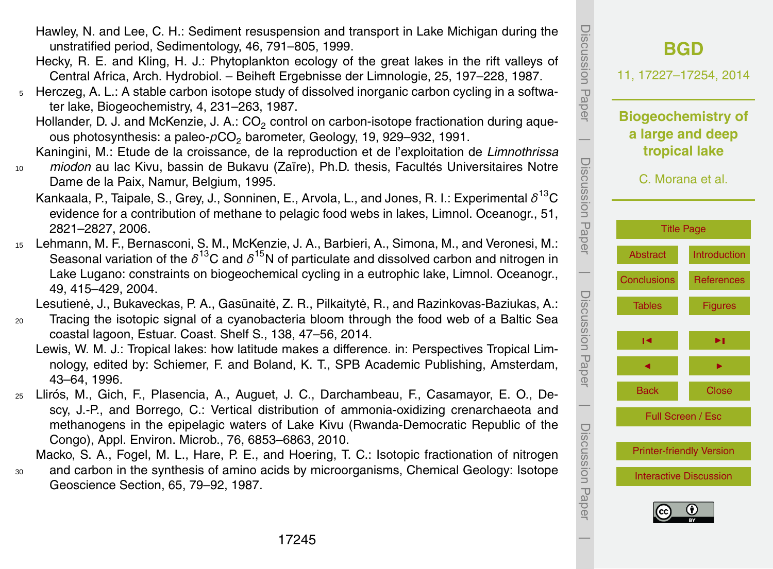- Hawley, N. and Lee, C. H.: Sediment resuspension and transport in Lake Michigan during the unstratified period, Sedimentology, 46, 791–805, 1999.
- Hecky, R. E. and Kling, H. J.: Phytoplankton ecology of the great lakes in the rift valleys of Central Africa, Arch. Hydrobiol. – Beiheft Ergebnisse der Limnologie, 25, 197–228, 1987.
- <sup>5</sup> Herczeg, A. L.: A stable carbon isotope study of dissolved inorganic carbon cycling in a softwater lake, Biogeochemistry, 4, 231–263, 1987.
	- Hollander, D. J. and McKenzie, J. A.: CO<sub>2</sub> control on carbon-isotope fractionation during aqueous photosynthesis: a paleo-pCO<sub>2</sub> barometer, Geology, 19, 929–932, 1991.
	- Kaningini, M.: Etude de la croissance, de la reproduction et de l'exploitation de *Limnothrissa*
- <sup>10</sup> *miodon* au lac Kivu, bassin de Bukavu (Zaïre), Ph.D. thesis, Facultés Universitaires Notre Dame de la Paix, Namur, Belgium, 1995.
	- Kankaala, P., Taipale, S., Grey, J., Sonninen, E., Arvola, L., and Jones, R. I.: Experimental *δ* <sup>13</sup>C evidence for a contribution of methane to pelagic food webs in lakes, Limnol. Oceanogr., 51, 2821–2827, 2006.
- <sup>15</sup> Lehmann, M. F., Bernasconi, S. M., McKenzie, J. A., Barbieri, A., Simona, M., and Veronesi, M.: Seasonal variation of the  $\delta^{13}$ C and  $\delta^{15}$ N of particulate and dissolved carbon and nitrogen in Lake Lugano: constraints on biogeochemical cycling in a eutrophic lake, Limnol. Oceanogr., 49, 415–429, 2004.

Lesutienė, J., Bukaveckas, P. A., Gasūnaitė, Z. R., Pilkaitytė, R., and Razinkovas-Baziukas, A.:

- <sup>20</sup> Tracing the isotopic signal of a cyanobacteria bloom through the food web of a Baltic Sea coastal lagoon, Estuar. Coast. Shelf S., 138, 47–56, 2014.
	- Lewis, W. M. J.: Tropical lakes: how latitude makes a difference. in: Perspectives Tropical Limnology, edited by: Schiemer, F. and Boland, K. T., SPB Academic Publishing, Amsterdam, 43–64, 1996.
- <sup>25</sup> Llirós, M., Gich, F., Plasencia, A., Auguet, J. C., Darchambeau, F., Casamayor, E. O., Descy, J.-P., and Borrego, C.: Vertical distribution of ammonia-oxidizing crenarchaeota and methanogens in the epipelagic waters of Lake Kivu (Rwanda-Democratic Republic of the Congo), Appl. Environ. Microb., 76, 6853–6863, 2010.

Macko, S. A., Fogel, M. L., Hare, P. E., and Hoering, T. C.: Isotopic fractionation of nitrogen <sup>30</sup> and carbon in the synthesis of amino acids by microorganisms, Chemical Geology: Isotope Geoscience Section, 65, 79–92, 1987.

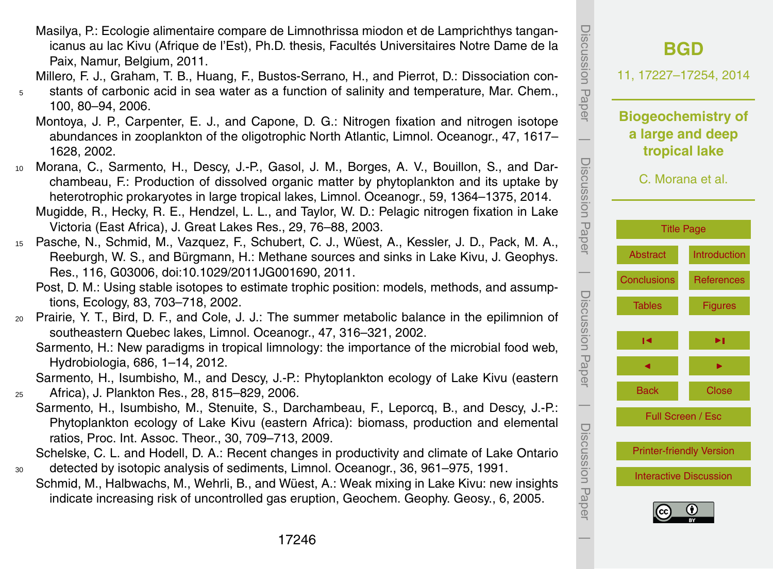- Masilya, P.: Ecologie alimentaire compare de Limnothrissa miodon et de Lamprichthys tanganicanus au lac Kivu (Afrique de l'Est), Ph.D. thesis, Facultés Universitaires Notre Dame de la Paix, Namur, Belgium, 2011.
- Millero, F. J., Graham, T. B., Huang, F., Bustos-Serrano, H., and Pierrot, D.: Dissociation con-
- <sup>5</sup> stants of carbonic acid in sea water as a function of salinity and temperature, Mar. Chem., 100, 80–94, 2006.
	- Montoya, J. P., Carpenter, E. J., and Capone, D. G.: Nitrogen fixation and nitrogen isotope abundances in zooplankton of the oligotrophic North Atlantic, Limnol. Oceanogr., 47, 1617– 1628, 2002.
- <sup>10</sup> Morana, C., Sarmento, H., Descy, J.-P., Gasol, J. M., Borges, A. V., Bouillon, S., and Darchambeau, F.: Production of dissolved organic matter by phytoplankton and its uptake by heterotrophic prokaryotes in large tropical lakes, Limnol. Oceanogr., 59, 1364–1375, 2014. Mugidde, R., Hecky, R. E., Hendzel, L. L., and Taylor, W. D.: Pelagic nitrogen fixation in Lake Victoria (East Africa), J. Great Lakes Res., 29, 76–88, 2003.
- <sup>15</sup> Pasche, N., Schmid, M., Vazquez, F., Schubert, C. J., Wüest, A., Kessler, J. D., Pack, M. A., Reeburgh, W. S., and Bürgmann, H.: Methane sources and sinks in Lake Kivu, J. Geophys. Res., 116, G03006, doi[:10.1029/2011JG001690,](http://dx.doi.org/10.1029/2011JG001690) 2011.
	- Post, D. M.: Using stable isotopes to estimate trophic position: models, methods, and assumptions, Ecology, 83, 703–718, 2002.
- <sup>20</sup> Prairie, Y. T., Bird, D. F., and Cole, J. J.: The summer metabolic balance in the epilimnion of southeastern Quebec lakes, Limnol. Oceanogr., 47, 316–321, 2002.
	- Sarmento, H.: New paradigms in tropical limnology: the importance of the microbial food web, Hydrobiologia, 686, 1–14, 2012.
- Sarmento, H., Isumbisho, M., and Descy, J.-P.: Phytoplankton ecology of Lake Kivu (eastern <sup>25</sup> Africa), J. Plankton Res., 28, 815–829, 2006.
	- Sarmento, H., Isumbisho, M., Stenuite, S., Darchambeau, F., Leporcq, B., and Descy, J.-P.: Phytoplankton ecology of Lake Kivu (eastern Africa): biomass, production and elemental ratios, Proc. Int. Assoc. Theor., 30, 709–713, 2009.
- Schelske, C. L. and Hodell, D. A.: Recent changes in productivity and climate of Lake Ontario <sup>30</sup> detected by isotopic analysis of sediments, Limnol. Oceanogr., 36, 961–975, 1991.
	- Schmid, M., Halbwachs, M., Wehrli, B., and Wüest, A.: Weak mixing in Lake Kivu: new insights indicate increasing risk of uncontrolled gas eruption, Geochem. Geophy. Geosy., 6, 2005.

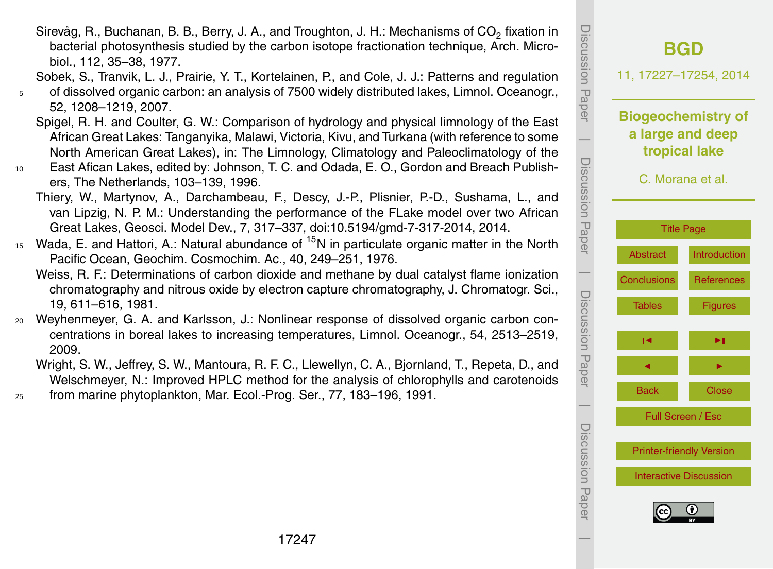17247

- Sirevåg, R., Buchanan, B. B., Berry, J. A., and Troughton, J. H.: Mechanisms of CO<sub>2</sub> fixation in bacterial photosynthesis studied by the carbon isotope fractionation technique, Arch. Microbiol., 112, 35–38, 1977.
- Sobek, S., Tranvik, L. J., Prairie, Y. T., Kortelainen, P., and Cole, J. J.: Patterns and regulation
- <sup>5</sup> of dissolved organic carbon: an analysis of 7500 widely distributed lakes, Limnol. Oceanogr., 52, 1208–1219, 2007.
	- Spigel, R. H. and Coulter, G. W.: Comparison of hydrology and physical limnology of the East African Great Lakes: Tanganyika, Malawi, Victoria, Kivu, and Turkana (with reference to some North American Great Lakes), in: The Limnology, Climatology and Paleoclimatology of the
- <sup>10</sup> East Afican Lakes, edited by: Johnson, T. C. and Odada, E. O., Gordon and Breach Publishers, The Netherlands, 103–139, 1996.
	- Thiery, W., Martynov, A., Darchambeau, F., Descy, J.-P., Plisnier, P.-D., Sushama, L., and van Lipzig, N. P. M.: Understanding the performance of the FLake model over two African Great Lakes, Geosci. Model Dev., 7, 317–337, doi[:10.5194/gmd-7-317-2014,](http://dx.doi.org/10.5194/gmd-7-317-2014) 2014.
- <sup>15</sup> Wada, E. and Hattori, A.: Natural abundance of <sup>15</sup>N in particulate organic matter in the North Pacific Ocean, Geochim. Cosmochim. Ac., 40, 249–251, 1976.
	- Weiss, R. F.: Determinations of carbon dioxide and methane by dual catalyst flame ionization chromatography and nitrous oxide by electron capture chromatography, J. Chromatogr. Sci., 19, 611–616, 1981.
- <sup>20</sup> Weyhenmeyer, G. A. and Karlsson, J.: Nonlinear response of dissolved organic carbon concentrations in boreal lakes to increasing temperatures, Limnol. Oceanogr., 54, 2513–2519, 2009.
	- Wright, S. W., Jeffrey, S. W., Mantoura, R. F. C., Llewellyn, C. A., Bjornland, T., Repeta, D., and Welschmeyer, N.: Improved HPLC method for the analysis of chlorophylls and carotenoids
- <sup>25</sup> from marine phytoplankton, Mar. Ecol.-Prog. Ser., 77, 183–196, 1991.

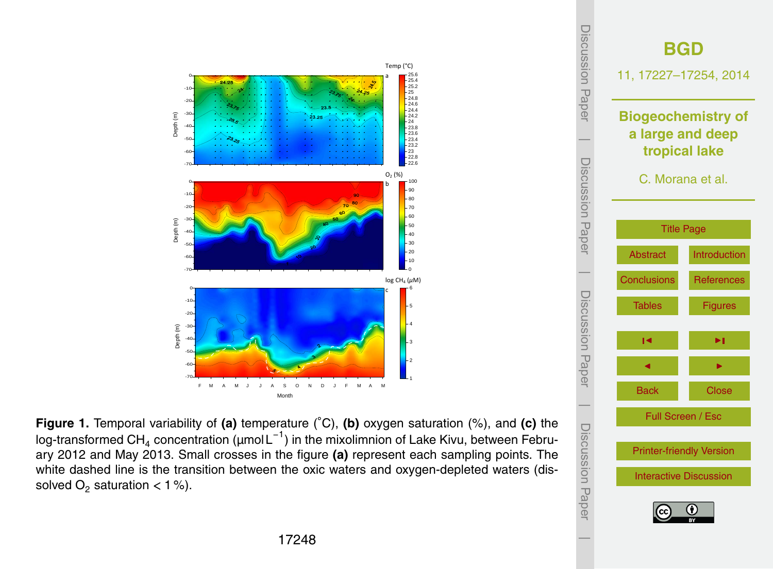<span id="page-21-0"></span>

**Figure 1.** Temporal variability of **(a)** temperature (◦C), **(b)** oxygen saturation (%), and **(c)** the log-transformed CH<sub>4</sub> concentration (µmol L $^{-1})$  in the mixolimnion of Lake Kivu, between February 2012 and May 2013. Small crosses in the figure **(a)** represent each sampling points. The white dashed line is the transition between the oxic waters and oxygen-depleted waters (dissolved  $O_2$  saturation  $< 1 %$ ).

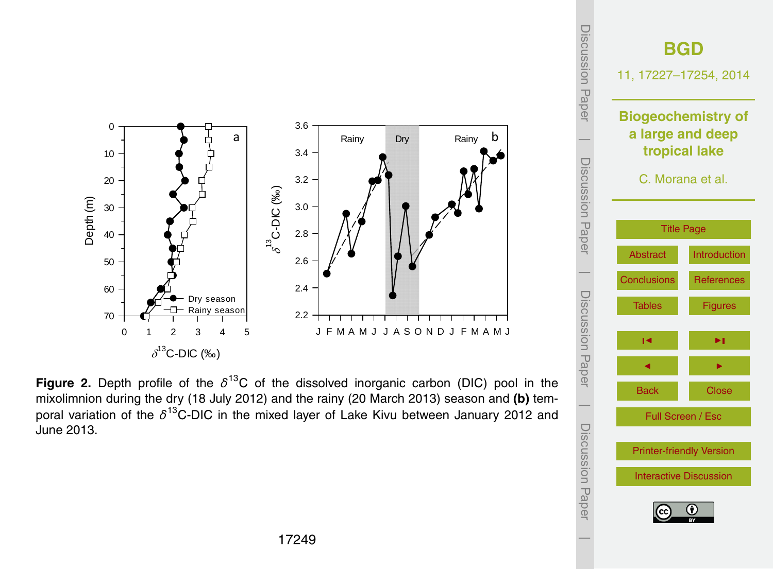

**Figure 2.** Depth profile of the  $\delta$ <sup>13</sup>C of the dissolved inorganic carbon (DIC) pool in the mixolimnion during the dry (18 July 2012) and the rainy (20 March 2013) season and **(b)** temporal variation of the δ<sup>13</sup>C-DIC in the mixed layer of Lake Kivu between January 2012 and June 2013.

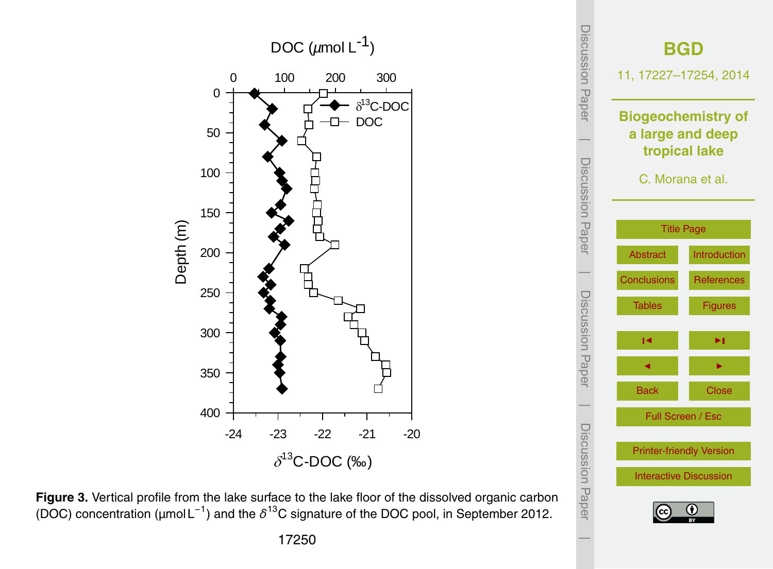



**Figure 3.** Vertical profile from the lake surface to the lake floor of the dissolved organic carbon (DOC) concentration (μmol L<sup>-1</sup>) and the δ<sup>13</sup>C signature of the DOC pool, in September 2012.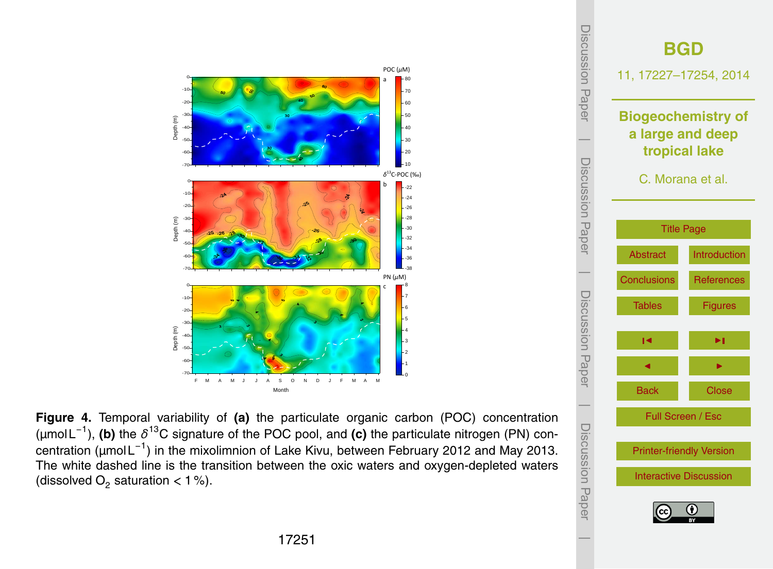

**Figure 4.** Temporal variability of **(a)** the particulate organic carbon (POC) concentration (µmol L<sup>−</sup><sup>1</sup> ), **(b)** the *δ* <sup>13</sup>C signature of the POC pool, and **(c)** the particulate nitrogen (PN) concentration (μmol L<sup>-1</sup>) in the mixolimnion of Lake Kivu, between February 2012 and May 2013. The white dashed line is the transition between the oxic waters and oxygen-depleted waters (dissolved  $O_2$  saturation  $<$  1 %).

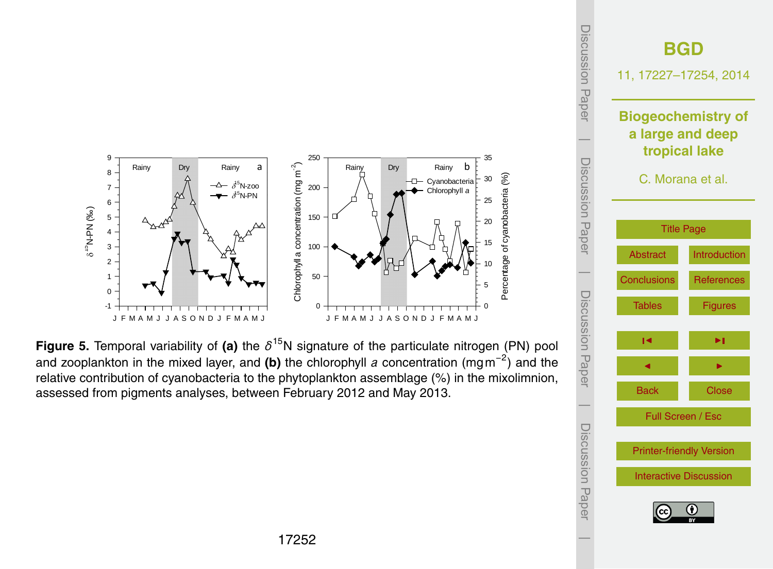



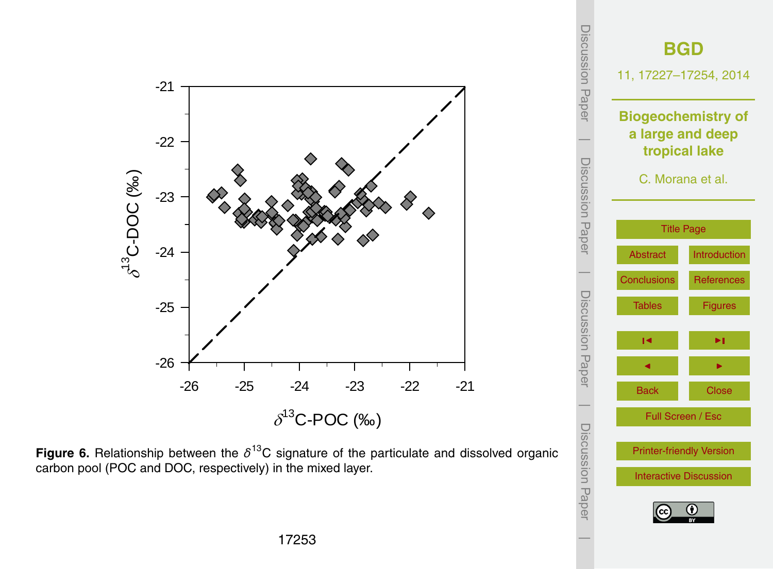

[Interactive Discussion](http://www.biogeosciences-discuss.net/11/17227/2014/bgd-11-17227-2014-discussion.html)

 $\overline{\phantom{a}}$